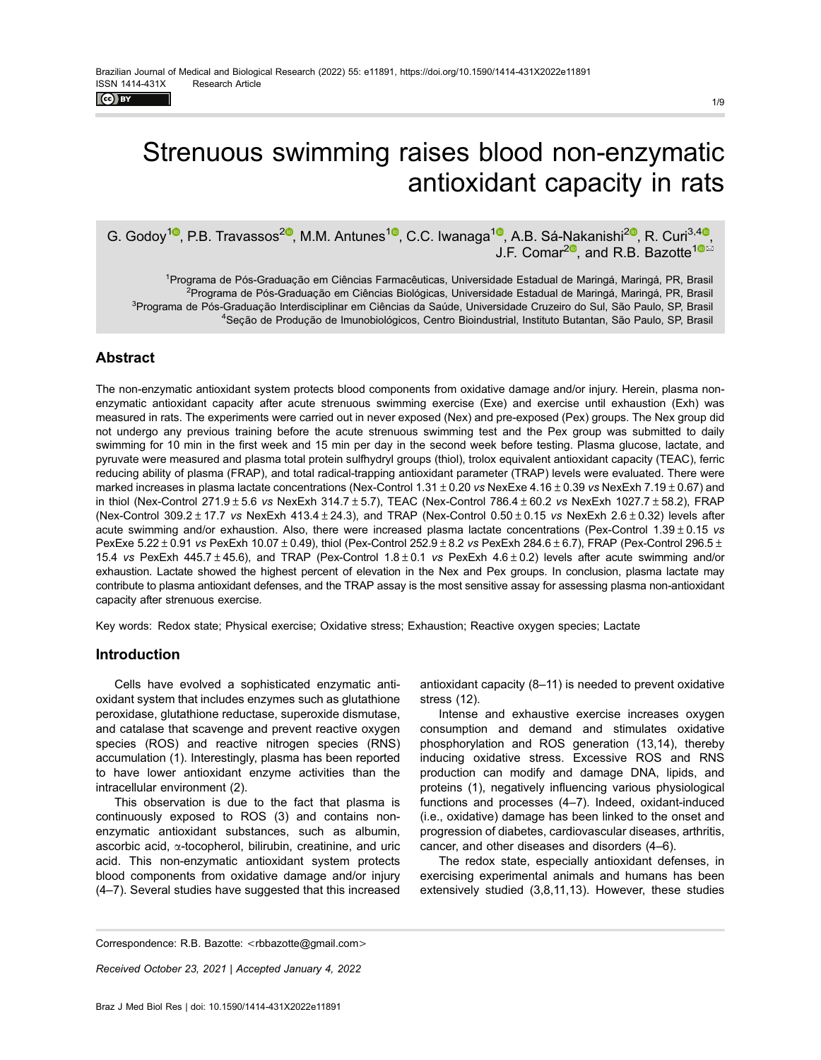$\left($ ce) EY

# Strenuous swimming raises blood non-enzymatic antioxidant capacity in rats

G. Godoy<sup>10</sup>, P.B. Travassos<sup>20</sup>, M.M. Antunes<sup>10</sup>, C.C. Iwanaga<sup>10</sup>, A.B. Sá-Nakanishi<sup>20</sup>, R. Curi<sup>3,40</sup>, J.F. Comar<sup>20</sup>, and R.B. Bazotte<sup>10 $\frac{10^{10}}{10^{10}}$ </sup>

<sup>1</sup>Programa de Pós-Graduação em Ciências Farmacêuticas, Universidade Estadual de Maringá, Maringá, PR, Brasil <sup>2</sup>Programa de Pós-Graduação em Ciências Biológicas, Universidade Estadual de Maringá, Maringá, PR, Brasil <sup>3</sup>Programa de Pós-Graduação Interdisciplinar em Ciências da Saúde, Universidade Cruzeiro do Sul, São Paulo, SP, Brasil <sup>4</sup>Seção de Produção de Imunobiológicos, Centro Bioindustrial, Instituto Butantan, São Paulo, SP, Brasil

# **Abstract**

The non-enzymatic antioxidant system protects blood components from oxidative damage and/or injury. Herein, plasma nonenzymatic antioxidant capacity after acute strenuous swimming exercise (Exe) and exercise until exhaustion (Exh) was measured in rats. The experiments were carried out in never exposed (Nex) and pre-exposed (Pex) groups. The Nex group did not undergo any previous training before the acute strenuous swimming test and the Pex group was submitted to daily swimming for 10 min in the first week and 15 min per day in the second week before testing. Plasma glucose, lactate, and pyruvate were measured and plasma total protein sulfhydryl groups (thiol), trolox equivalent antioxidant capacity (TEAC), ferric reducing ability of plasma (FRAP), and total radical-trapping antioxidant parameter (TRAP) levels were evaluated. There were marked increases in plasma lactate concentrations (Nex-Control 1.31  $\pm$  0.20 vs NexExe 4.16  $\pm$  0.39 vs NexExh 7.19 $\pm$  0.67) and in thiol (Nex-Control 271.9 $\pm$  5.6 vs NexExh 314.7 $\pm$  5.7), TEAC (Nex-Control 786.4 $\pm$  60.2 vs NexExh 1027.7 $\pm$  58.2), FRAP (Nex-Control  $309.2 \pm 17.7$  vs NexExh  $413.4 \pm 24.3$ ), and TRAP (Nex-Control  $0.50 \pm 0.15$  vs NexExh  $2.6 \pm 0.32$ ) levels after acute swimming and/or exhaustion. Also, there were increased plasma lactate concentrations (Pex-Control  $1.39 \pm 0.15$  vs PexExe  $5.22\pm0.91$  vs PexExh  $10.07\pm0.49$ ), thiol (Pex-Control  $252.9\pm8.2$  vs PexExh 284.6 $\pm$ 6.7), FRAP (Pex-Control 296.5 $\pm$ 15.4 vs PexExh 445.7  $\pm$  45.6), and TRAP (Pex-Control 1.8  $\pm$  0.1 vs PexExh 4.6  $\pm$  0.2) levels after acute swimming and/or exhaustion. Lactate showed the highest percent of elevation in the Nex and Pex groups. In conclusion, plasma lactate may contribute to plasma antioxidant defenses, and the TRAP assay is the most sensitive assay for assessing plasma non-antioxidant capacity after strenuous exercise.

Key words: Redox state; Physical exercise; Oxidative stress; Exhaustion; Reactive oxygen species; Lactate

## Introduction

Cells have evolved a sophisticated enzymatic antioxidant system that includes enzymes such as glutathione peroxidase, glutathione reductase, superoxide dismutase, and catalase that scavenge and prevent reactive oxygen species (ROS) and reactive nitrogen species (RNS) accumulation (1). Interestingly, plasma has been reported to have lower antioxidant enzyme activities than the intracellular environment (2).

This observation is due to the fact that plasma is continuously exposed to ROS (3) and contains nonenzymatic antioxidant substances, such as albumin, ascorbic acid, a-tocopherol, bilirubin, creatinine, and uric acid. This non-enzymatic antioxidant system protects blood components from oxidative damage and/or injury (4–7). Several studies have suggested that this increased

antioxidant capacity (8–11) is needed to prevent oxidative stress (12).

Intense and exhaustive exercise increases oxygen consumption and demand and stimulates oxidative phosphorylation and ROS generation (13,14), thereby inducing oxidative stress. Excessive ROS and RNS production can modify and damage DNA, lipids, and proteins (1), negatively influencing various physiological functions and processes (4–7). Indeed, oxidant-induced (i.e., oxidative) damage has been linked to the onset and progression of diabetes, cardiovascular diseases, arthritis, cancer, and other diseases and disorders (4–6).

The redox state, especially antioxidant defenses, in exercising experimental animals and humans has been extensively studied (3,8,11,13). However, these studies

Correspondence: R.B. Bazotte: <[rbbazotte@gmail.com](mailto:rbbazotte@gmail.com)>

Received October 23, 2021 | Accepted January 4, 2022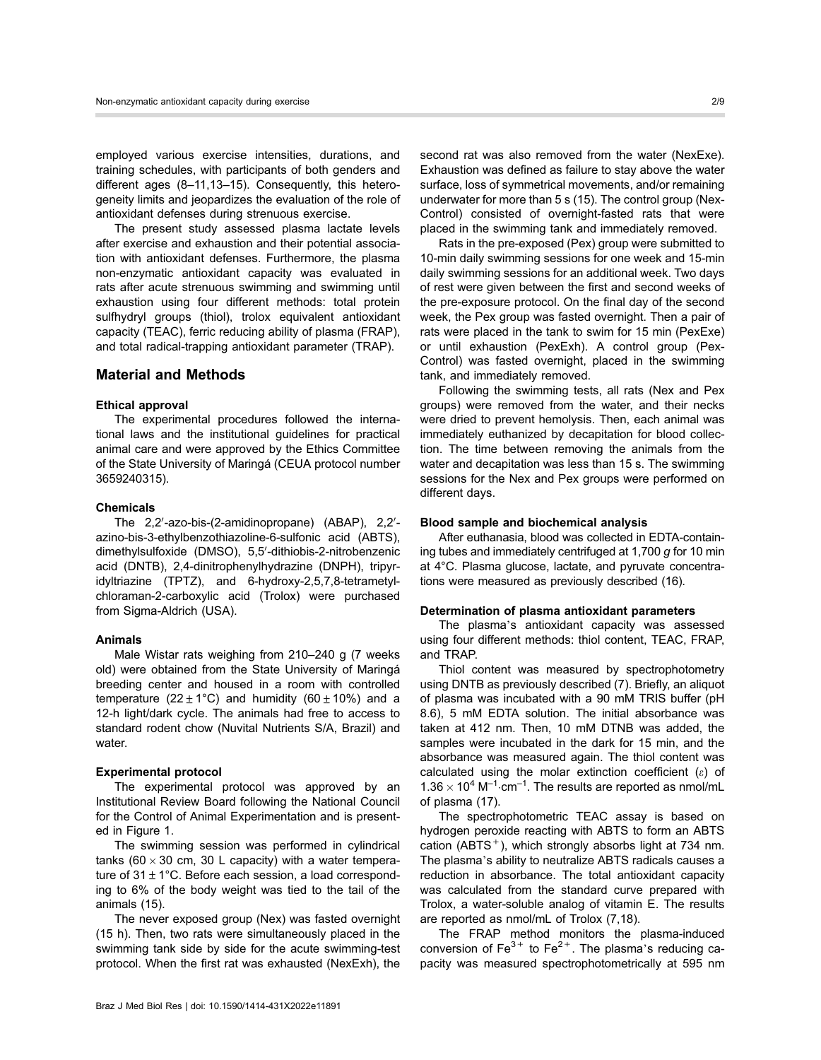employed various exercise intensities, durations, and training schedules, with participants of both genders and different ages (8–11,13–15). Consequently, this heterogeneity limits and jeopardizes the evaluation of the role of antioxidant defenses during strenuous exercise.

The present study assessed plasma lactate levels after exercise and exhaustion and their potential association with antioxidant defenses. Furthermore, the plasma non-enzymatic antioxidant capacity was evaluated in rats after acute strenuous swimming and swimming until exhaustion using four different methods: total protein sulfhydryl groups (thiol), trolox equivalent antioxidant capacity (TEAC), ferric reducing ability of plasma (FRAP), and total radical-trapping antioxidant parameter (TRAP).

# Material and Methods

### Ethical approval

The experimental procedures followed the international laws and the institutional guidelines for practical animal care and were approved by the Ethics Committee of the State University of Maringá (CEUA protocol number 3659240315).

#### Chemicals

The 2,2'-azo-bis-(2-amidinopropane) (ABAP), 2,2'azino-bis-3-ethylbenzothiazoline-6-sulfonic acid (ABTS), dimethylsulfoxide (DMSO), 5,5'-dithiobis-2-nitrobenzenic acid (DNTB), 2,4-dinitrophenylhydrazine (DNPH), tripyridyltriazine (TPTZ), and 6-hydroxy-2,5,7,8-tetrametylchloraman-2-carboxylic acid (Trolox) were purchased from Sigma-Aldrich (USA).

#### Animals

Male Wistar rats weighing from 210–240 g (7 weeks old) were obtained from the State University of Maringá breeding center and housed in a room with controlled temperature (22 ± 1°C) and humidity (60 ± 10%) and a 12-h light/dark cycle. The animals had free to access to standard rodent chow (Nuvital Nutrients S/A, Brazil) and water.

#### Experimental protocol

The experimental protocol was approved by an Institutional Review Board following the National Council for the Control of Animal Experimentation and is presented in Figure 1.

The swimming session was performed in cylindrical tanks (60  $\times$  30 cm, 30 L capacity) with a water temperature of  $31 \pm 1^{\circ}$ C. Before each session, a load corresponding to 6% of the body weight was tied to the tail of the animals (15).

The never exposed group (Nex) was fasted overnight (15 h). Then, two rats were simultaneously placed in the swimming tank side by side for the acute swimming-test protocol. When the first rat was exhausted (NexExh), the second rat was also removed from the water (NexExe). Exhaustion was defined as failure to stay above the water surface, loss of symmetrical movements, and/or remaining underwater for more than 5 s (15). The control group (Nex-Control) consisted of overnight-fasted rats that were placed in the swimming tank and immediately removed.

Rats in the pre-exposed (Pex) group were submitted to 10-min daily swimming sessions for one week and 15-min daily swimming sessions for an additional week. Two days of rest were given between the first and second weeks of the pre-exposure protocol. On the final day of the second week, the Pex group was fasted overnight. Then a pair of rats were placed in the tank to swim for 15 min (PexExe) or until exhaustion (PexExh). A control group (Pex-Control) was fasted overnight, placed in the swimming tank, and immediately removed.

Following the swimming tests, all rats (Nex and Pex groups) were removed from the water, and their necks were dried to prevent hemolysis. Then, each animal was immediately euthanized by decapitation for blood collection. The time between removing the animals from the water and decapitation was less than 15 s. The swimming sessions for the Nex and Pex groups were performed on different days.

#### Blood sample and biochemical analysis

After euthanasia, blood was collected in EDTA-containing tubes and immediately centrifuged at  $1,700$  g for  $10$  min at 4°C. Plasma glucose, lactate, and pyruvate concentrations were measured as previously described (16).

### Determination of plasma antioxidant parameters

The plasma's antioxidant capacity was assessed using four different methods: thiol content, TEAC, FRAP, and TRAP.

Thiol content was measured by spectrophotometry using DNTB as previously described (7). Briefly, an aliquot of plasma was incubated with a 90 mM TRIS buffer (pH 8.6), 5 mM EDTA solution. The initial absorbance was taken at 412 nm. Then, 10 mM DTNB was added, the samples were incubated in the dark for 15 min, and the absorbance was measured again. The thiol content was calculated using the molar extinction coefficient  $(\varepsilon)$  of  $1.36 \times 10^4 \text{ M}^{-1} \cdot \text{cm}^{-1}$ . The results are reported as nmol/mL of plasma (17).

The spectrophotometric TEAC assay is based on hydrogen peroxide reacting with ABTS to form an ABTS cation (ABTS $^+$ ), which strongly absorbs light at 734 nm. The plasma's ability to neutralize ABTS radicals causes a reduction in absorbance. The total antioxidant capacity was calculated from the standard curve prepared with Trolox, a water-soluble analog of vitamin E. The results are reported as nmol/mL of Trolox (7,18).

The FRAP method monitors the plasma-induced conversion of  $Fe^{3+}$  to  $Fe^{2+}$ . The plasma's reducing capacity was measured spectrophotometrically at 595 nm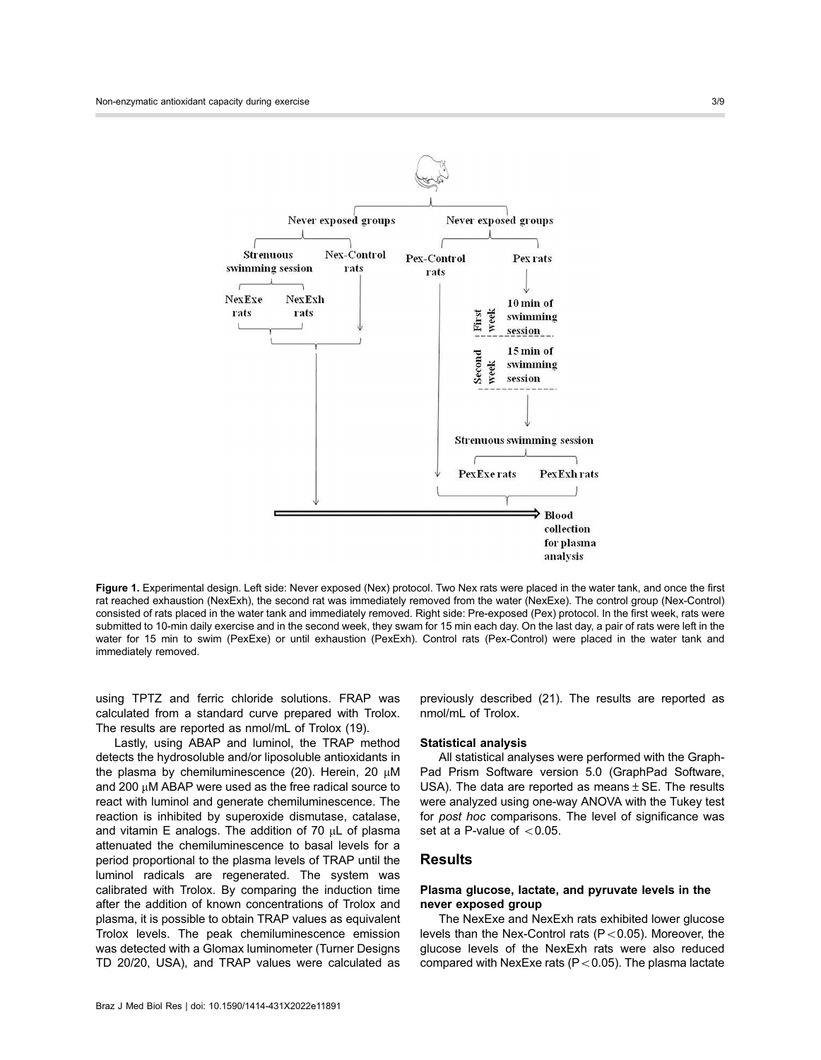

Figure 1. Experimental design. Left side: Never exposed (Nex) protocol. Two Nex rats were placed in the water tank, and once the first rat reached exhaustion (NexExh), the second rat was immediately removed from the water (NexExe). The control group (Nex-Control) consisted of rats placed in the water tank and immediately removed. Right side: Pre-exposed (Pex) protocol. In the first week, rats were submitted to 10-min daily exercise and in the second week, they swam for 15 min each day. On the last day, a pair of rats were left in the water for 15 min to swim (PexExe) or until exhaustion (PexExh). Control rats (Pex-Control) were placed in the water tank and immediately removed.

using TPTZ and ferric chloride solutions. FRAP was calculated from a standard curve prepared with Trolox. The results are reported as nmol/mL of Trolox (19).

Lastly, using ABAP and luminol, the TRAP method detects the hydrosoluble and/or liposoluble antioxidants in the plasma by chemiluminescence (20). Herein, 20  $\mu$ M and 200  $\mu$ M ABAP were used as the free radical source to react with luminol and generate chemiluminescence. The reaction is inhibited by superoxide dismutase, catalase, and vitamin E analogs. The addition of  $70 \mu L$  of plasma attenuated the chemiluminescence to basal levels for a period proportional to the plasma levels of TRAP until the luminol radicals are regenerated. The system was calibrated with Trolox. By comparing the induction time after the addition of known concentrations of Trolox and plasma, it is possible to obtain TRAP values as equivalent Trolox levels. The peak chemiluminescence emission was detected with a Glomax luminometer (Turner Designs TD 20/20, USA), and TRAP values were calculated as

previously described (21). The results are reported as nmol/mL of Trolox.

#### Statistical analysis

All statistical analyses were performed with the Graph-Pad Prism Software version 5.0 (GraphPad Software, USA). The data are reported as means  $\pm$  SE. The results were analyzed using one-way ANOVA with the Tukey test for post hoc comparisons. The level of significance was set at a P-value of  $< 0.05$ .

## Results

## Plasma glucose, lactate, and pyruvate levels in the never exposed group

The NexExe and NexExh rats exhibited lower glucose levels than the Nex-Control rats ( $P < 0.05$ ). Moreover, the glucose levels of the NexExh rats were also reduced compared with NexExe rats ( $P < 0.05$ ). The plasma lactate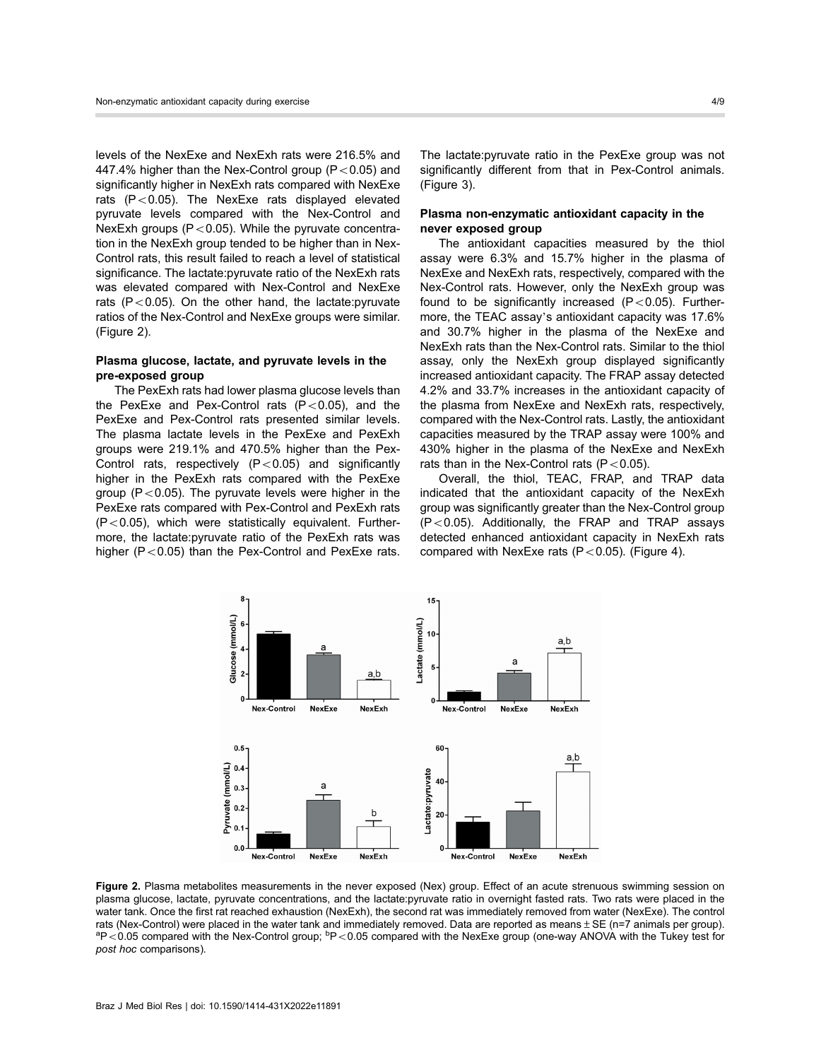levels of the NexExe and NexExh rats were 216.5% and 447.4% higher than the Nex-Control group  $(P<0.05)$  and significantly higher in NexExh rats compared with NexExe rats  $(P<0.05)$ . The NexExe rats displayed elevated pyruvate levels compared with the Nex-Control and NexExh groups ( $P < 0.05$ ). While the pyruvate concentration in the NexExh group tended to be higher than in Nex-Control rats, this result failed to reach a level of statistical significance. The lactate:pyruvate ratio of the NexExh rats was elevated compared with Nex-Control and NexExe rats ( $P < 0.05$ ). On the other hand, the lactate: pyruvate ratios of the Nex-Control and NexExe groups were similar. (Figure 2).

## Plasma glucose, lactate, and pyruvate levels in the pre-exposed group

The PexExh rats had lower plasma glucose levels than the PexExe and Pex-Control rats  $(P<0.05)$ , and the PexExe and Pex-Control rats presented similar levels. The plasma lactate levels in the PexExe and PexExh groups were 219.1% and 470.5% higher than the Pex-Control rats, respectively  $(P<0.05)$  and significantly higher in the PexExh rats compared with the PexExe group ( $P < 0.05$ ). The pyruvate levels were higher in the PexExe rats compared with Pex-Control and PexExh rats  $(P<0.05)$ , which were statistically equivalent. Furthermore, the lactate:pyruvate ratio of the PexExh rats was higher ( $P < 0.05$ ) than the Pex-Control and PexExe rats. The lactate:pyruvate ratio in the PexExe group was not significantly different from that in Pex-Control animals. (Figure 3).

## Plasma non-enzymatic antioxidant capacity in the never exposed group

The antioxidant capacities measured by the thiol assay were 6.3% and 15.7% higher in the plasma of NexExe and NexExh rats, respectively, compared with the Nex-Control rats. However, only the NexExh group was found to be significantly increased  $(P<0.05)$ . Furthermore, the TEAC assay's antioxidant capacity was 17.6% and 30.7% higher in the plasma of the NexExe and NexExh rats than the Nex-Control rats. Similar to the thiol assay, only the NexExh group displayed significantly increased antioxidant capacity. The FRAP assay detected 4.2% and 33.7% increases in the antioxidant capacity of the plasma from NexExe and NexExh rats, respectively, compared with the Nex-Control rats. Lastly, the antioxidant capacities measured by the TRAP assay were 100% and 430% higher in the plasma of the NexExe and NexExh rats than in the Nex-Control rats ( $P < 0.05$ ).

Overall, the thiol, TEAC, FRAP, and TRAP data indicated that the antioxidant capacity of the NexExh group was significantly greater than the Nex-Control group  $(P<0.05)$ . Additionally, the FRAP and TRAP assays detected enhanced antioxidant capacity in NexExh rats compared with NexExe rats  $(P<0.05)$ . (Figure 4).



Figure 2. Plasma metabolites measurements in the never exposed (Nex) group. Effect of an acute strenuous swimming session on plasma glucose, lactate, pyruvate concentrations, and the lactate:pyruvate ratio in overnight fasted rats. Two rats were placed in the water tank. Once the first rat reached exhaustion (NexExh), the second rat was immediately removed from water (NexExe). The control rats (Nex-Control) were placed in the water tank and immediately removed. Data are reported as means  $\pm$  SE (n=7 animals per group). P < 0.05 compared with the Nex-Control group; <sup>b</sup>P < 0.05 compared with the NexExe group (one-way ANOVA with the Tukey test for post hoc comparisons).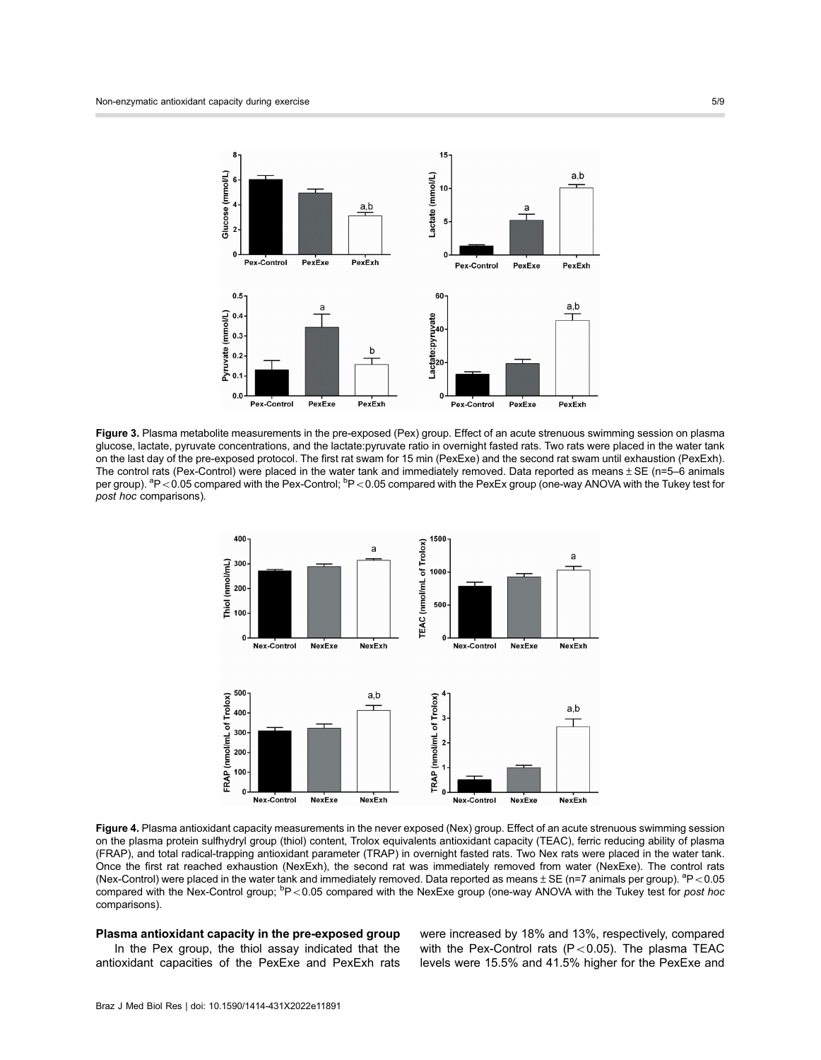

Figure 3. Plasma metabolite measurements in the pre-exposed (Pex) group. Effect of an acute strenuous swimming session on plasma glucose, lactate, pyruvate concentrations, and the lactate:pyruvate ratio in overnight fasted rats. Two rats were placed in the water tank on the last day of the pre-exposed protocol. The first rat swam for 15 min (PexExe) and the second rat swam until exhaustion (PexExh). The control rats (Pex-Control) were placed in the water tank and immediately removed. Data reported as means  $\pm$  SE (n=5–6 animals per group). <sup>a</sup>P<0.05 compared with the Pex-Control; <sup>b</sup>P<0.05 compared with the PexEx group (one-way ANOVA with the Tukey test for post hoc comparisons).



Figure 4. Plasma antioxidant capacity measurements in the never exposed (Nex) group. Effect of an acute strenuous swimming session on the plasma protein sulfhydryl group (thiol) content, Trolox equivalents antioxidant capacity (TEAC), ferric reducing ability of plasma (FRAP), and total radical-trapping antioxidant parameter (TRAP) in overnight fasted rats. Two Nex rats were placed in the water tank. Once the first rat reached exhaustion (NexExh), the second rat was immediately removed from water (NexExe). The control rats (Nex-Control) were placed in the water tank and immediately removed. Data reported as means  $\pm$  SE (n=7 animals per group). <sup>a</sup>P<0.05 compared with the Nex-Control group; <sup>b</sup>P<0.05 compared with the NexExe group (one-way ANOVA with the Tukey test for post hoc comparisons).

## Plasma antioxidant capacity in the pre-exposed group

In the Pex group, the thiol assay indicated that the antioxidant capacities of the PexExe and PexExh rats were increased by 18% and 13%, respectively, compared with the Pex-Control rats (P<0.05). The plasma TEAC levels were 15.5% and 41.5% higher for the PexExe and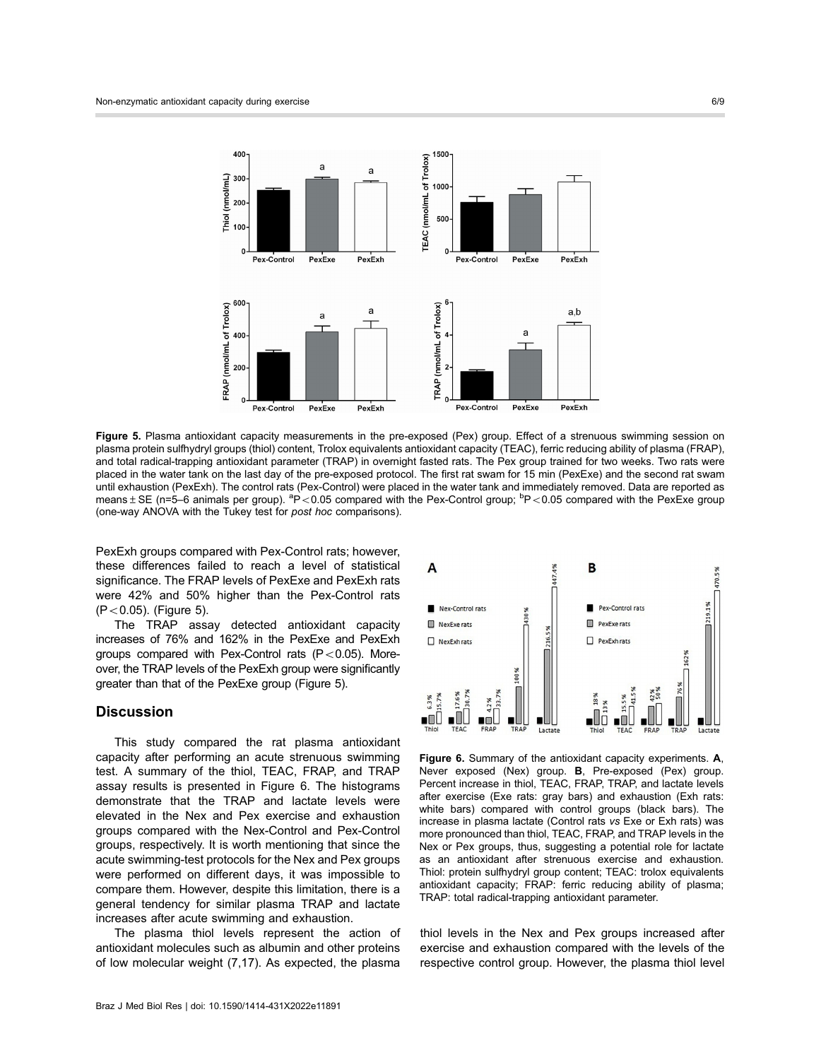

Figure 5. Plasma antioxidant capacity measurements in the pre-exposed (Pex) group. Effect of a strenuous swimming session on plasma protein sulfhydryl groups (thiol) content, Trolox equivalents antioxidant capacity (TEAC), ferric reducing ability of plasma (FRAP), and total radical-trapping antioxidant parameter (TRAP) in overnight fasted rats. The Pex group trained for two weeks. Two rats were placed in the water tank on the last day of the pre-exposed protocol. The first rat swam for 15 min (PexExe) and the second rat swam until exhaustion (PexExh). The control rats (Pex-Control) were placed in the water tank and immediately removed. Data are reported as means ± SE (n=5–6 animals per group). <sup>a</sup>P<0.05 compared with the Pex-Control group; <sup>b</sup>P<0.05 compared with the PexExe group (one-way ANOVA with the Tukey test for post hoc comparisons).

PexExh groups compared with Pex-Control rats; however, these differences failed to reach a level of statistical significance. The FRAP levels of PexExe and PexExh rats were 42% and 50% higher than the Pex-Control rats  $(P<0.05)$ . (Figure 5).

The TRAP assay detected antioxidant capacity increases of 76% and 162% in the PexExe and PexExh aroups compared with Pex-Control rats  $(P<0.05)$ . Moreover, the TRAP levels of the PexExh group were significantly greater than that of the PexExe group (Figure 5).

## **Discussion**

This study compared the rat plasma antioxidant capacity after performing an acute strenuous swimming test. A summary of the thiol, TEAC, FRAP, and TRAP assay results is presented in Figure 6. The histograms demonstrate that the TRAP and lactate levels were elevated in the Nex and Pex exercise and exhaustion groups compared with the Nex-Control and Pex-Control groups, respectively. It is worth mentioning that since the acute swimming-test protocols for the Nex and Pex groups were performed on different days, it was impossible to compare them. However, despite this limitation, there is a general tendency for similar plasma TRAP and lactate increases after acute swimming and exhaustion.

The plasma thiol levels represent the action of antioxidant molecules such as albumin and other proteins of low molecular weight (7,17). As expected, the plasma





Figure 6. Summary of the antioxidant capacity experiments. A, Never exposed (Nex) group. B, Pre-exposed (Pex) group. Percent increase in thiol, TEAC, FRAP, TRAP, and lactate levels after exercise (Exe rats: gray bars) and exhaustion (Exh rats: white bars) compared with control groups (black bars). The increase in plasma lactate (Control rats vs Exe or Exh rats) was more pronounced than thiol, TEAC, FRAP, and TRAP levels in the Nex or Pex groups, thus, suggesting a potential role for lactate as an antioxidant after strenuous exercise and exhaustion. Thiol: protein sulfhydryl group content; TEAC: trolox equivalents antioxidant capacity; FRAP: ferric reducing ability of plasma; TRAP: total radical-trapping antioxidant parameter.

thiol levels in the Nex and Pex groups increased after exercise and exhaustion compared with the levels of the respective control group. However, the plasma thiol level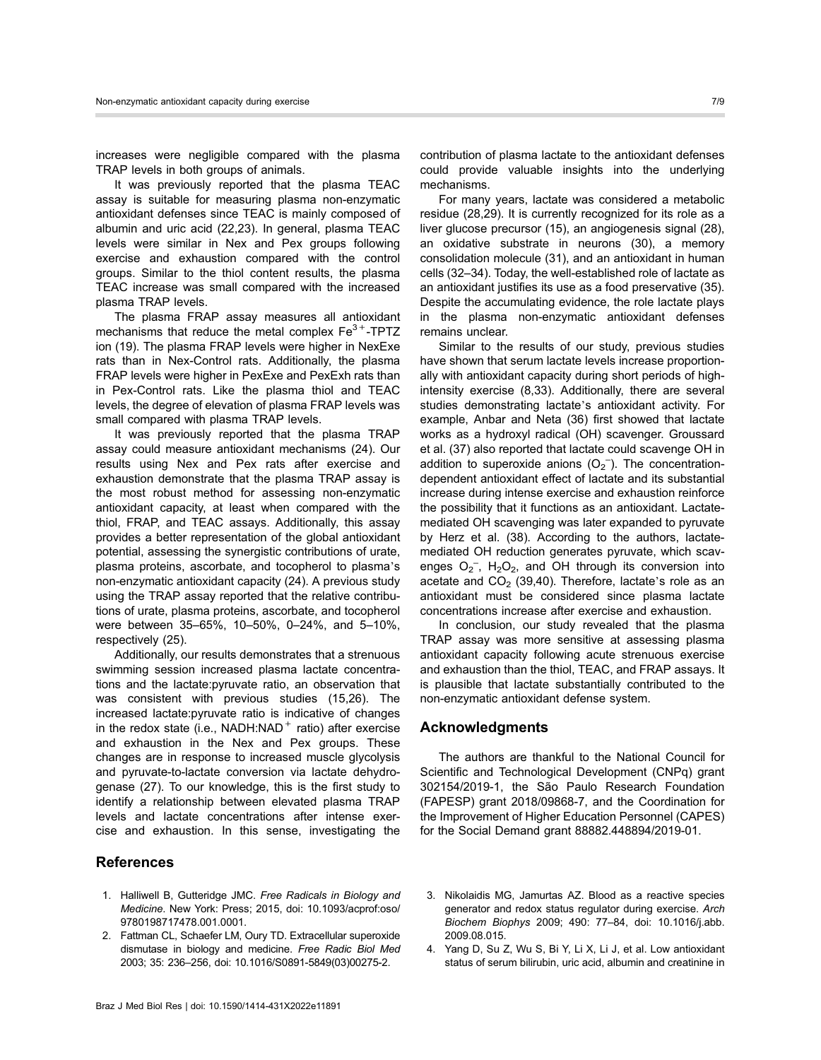increases were negligible compared with the plasma TRAP levels in both groups of animals.

It was previously reported that the plasma TEAC assay is suitable for measuring plasma non-enzymatic antioxidant defenses since TEAC is mainly composed of albumin and uric acid (22,23). In general, plasma TEAC levels were similar in Nex and Pex groups following exercise and exhaustion compared with the control groups. Similar to the thiol content results, the plasma TEAC increase was small compared with the increased plasma TRAP levels.

The plasma FRAP assay measures all antioxidant mechanisms that reduce the metal complex  $Fe<sup>3+</sup>$ -TPTZ ion (19). The plasma FRAP levels were higher in NexExe rats than in Nex-Control rats. Additionally, the plasma FRAP levels were higher in PexExe and PexExh rats than in Pex-Control rats. Like the plasma thiol and TEAC levels, the degree of elevation of plasma FRAP levels was small compared with plasma TRAP levels.

It was previously reported that the plasma TRAP assay could measure antioxidant mechanisms (24). Our results using Nex and Pex rats after exercise and exhaustion demonstrate that the plasma TRAP assay is the most robust method for assessing non-enzymatic antioxidant capacity, at least when compared with the thiol, FRAP, and TEAC assays. Additionally, this assay provides a better representation of the global antioxidant potential, assessing the synergistic contributions of urate, plasma proteins, ascorbate, and tocopherol to plasma's non-enzymatic antioxidant capacity (24). A previous study using the TRAP assay reported that the relative contributions of urate, plasma proteins, ascorbate, and tocopherol were between 35–65%, 10–50%, 0–24%, and 5–10%, respectively (25).

Additionally, our results demonstrates that a strenuous swimming session increased plasma lactate concentrations and the lactate:pyruvate ratio, an observation that was consistent with previous studies (15,26). The increased lactate:pyruvate ratio is indicative of changes in the redox state (i.e.,  $NADH: NAD<sup>+</sup>$  ratio) after exercise and exhaustion in the Nex and Pex groups. These changes are in response to increased muscle glycolysis and pyruvate-to-lactate conversion via lactate dehydrogenase (27). To our knowledge, this is the first study to identify a relationship between elevated plasma TRAP levels and lactate concentrations after intense exercise and exhaustion. In this sense, investigating the

## References

- 1. Halliwell B, Gutteridge JMC. Free Radicals in Biology and Medicine. New York: Press; 2015, doi: [10.1093/acprof:oso/](http://dx.doi.org/10.1093/acprof:oso/9780198717478.001.0001) [9780198717478.001.0001.](http://dx.doi.org/10.1093/acprof:oso/9780198717478.001.0001)
- 2. Fattman CL, Schaefer LM, Oury TD. Extracellular superoxide dismutase in biology and medicine. Free Radic Biol Med 2003; 35: 236–256, doi: [10.1016/S0891-5849\(03\)00275-2](http://dx.doi.org/10.1016/S0891-5849(03)00275-2).

contribution of plasma lactate to the antioxidant defenses could provide valuable insights into the underlying mechanisms.

For many years, lactate was considered a metabolic residue (28,29). It is currently recognized for its role as a liver glucose precursor (15), an angiogenesis signal (28), an oxidative substrate in neurons (30), a memory consolidation molecule (31), and an antioxidant in human cells (32–34). Today, the well-established role of lactate as an antioxidant justifies its use as a food preservative (35). Despite the accumulating evidence, the role lactate plays in the plasma non-enzymatic antioxidant defenses remains unclear.

Similar to the results of our study, previous studies have shown that serum lactate levels increase proportionally with antioxidant capacity during short periods of highintensity exercise (8,33). Additionally, there are several studies demonstrating lactate's antioxidant activity. For example, Anbar and Neta (36) first showed that lactate works as a hydroxyl radical (OH) scavenger. Groussard et al. (37) also reported that lactate could scavenge OH in addition to superoxide anions  $(O_2^-)$ . The concentrationdependent antioxidant effect of lactate and its substantial increase during intense exercise and exhaustion reinforce the possibility that it functions as an antioxidant. Lactatemediated OH scavenging was later expanded to pyruvate by Herz et al. (38). According to the authors, lactatemediated OH reduction generates pyruvate, which scavenges  $O_2^-$ ,  $H_2O_2$ , and OH through its conversion into acetate and  $CO<sub>2</sub>$  (39,40). Therefore, lactate's role as an antioxidant must be considered since plasma lactate concentrations increase after exercise and exhaustion.

In conclusion, our study revealed that the plasma TRAP assay was more sensitive at assessing plasma antioxidant capacity following acute strenuous exercise and exhaustion than the thiol, TEAC, and FRAP assays. It is plausible that lactate substantially contributed to the non-enzymatic antioxidant defense system.

## Acknowledgments

The authors are thankful to the National Council for Scientific and Technological Development (CNPq) grant 302154/2019-1, the São Paulo Research Foundation (FAPESP) grant 2018/09868-7, and the Coordination for the Improvement of Higher Education Personnel (CAPES) for the Social Demand grant 88882.448894/2019-01.

- 3. Nikolaidis MG, Jamurtas AZ. Blood as a reactive species generator and redox status regulator during exercise. Arch Biochem Biophys 2009; 490: 77–84, doi: [10.1016/j.abb.](http://dx.doi.org/10.1016/j.abb.2009.08.015) [2009.08.015.](http://dx.doi.org/10.1016/j.abb.2009.08.015)
- 4. Yang D, Su Z, Wu S, Bi Y, Li X, Li J, et al. Low antioxidant status of serum bilirubin, uric acid, albumin and creatinine in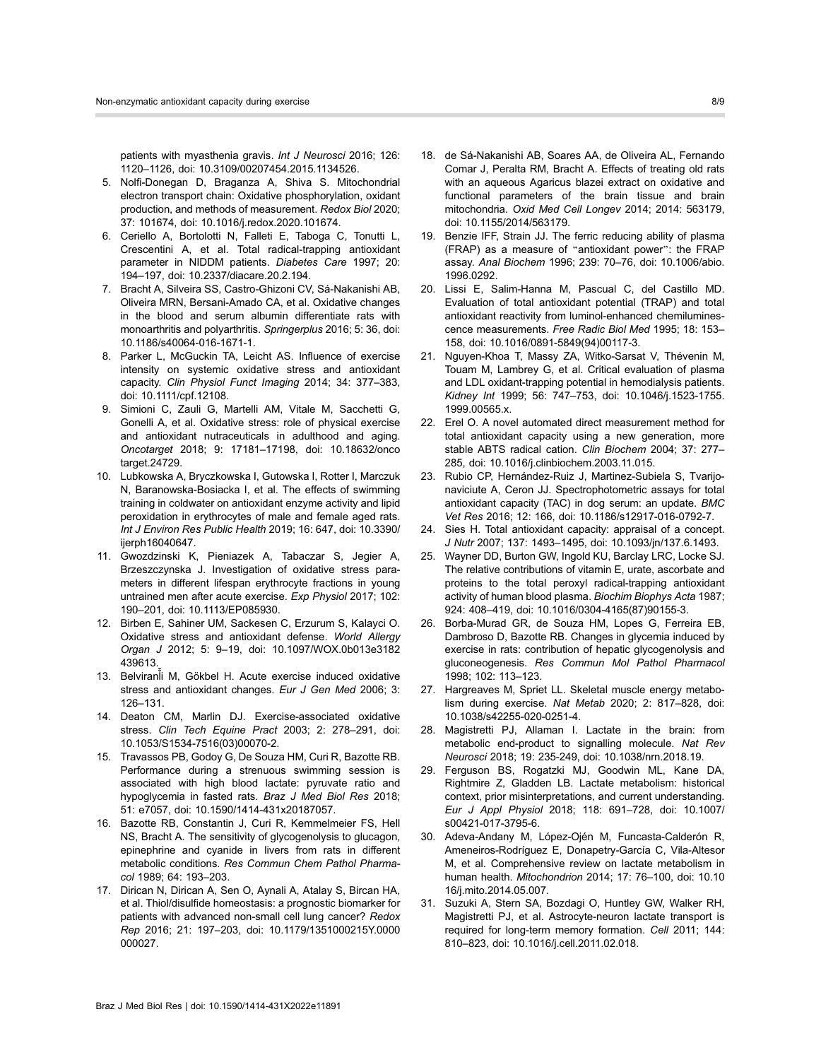patients with myasthenia gravis. Int J Neurosci 2016; 126: 1120–1126, doi: [10.3109/00207454.2015.1134526](http://dx.doi.org/10.3109/00207454.2015.1134526).

- 5. Nolfi-Donegan D, Braganza A, Shiva S. Mitochondrial electron transport chain: Oxidative phosphorylation, oxidant production, and methods of measurement. Redox Biol 2020; 37: 101674, doi: [10.1016/j.redox.2020.101674](http://dx.doi.org/10.1016/j.redox.2020.101674).
- 6. Ceriello A, Bortolotti N, Falleti E, Taboga C, Tonutti L, Crescentini A, et al. Total radical-trapping antioxidant parameter in NIDDM patients. Diabetes Care 1997; 20: 194–197, doi: [10.2337/diacare.20.2.194.](http://dx.doi.org/10.2337/diacare.20.2.194)
- 7. Bracht A, Silveira SS, Castro-Ghizoni CV, Sá-Nakanishi AB, Oliveira MRN, Bersani-Amado CA, et al. Oxidative changes in the blood and serum albumin differentiate rats with monoarthritis and polyarthritis. Springerplus 2016; 5: 36, doi: [10.1186/s40064-016-1671-1.](http://dx.doi.org/10.1186/s40064-016-1671-1)
- 8. Parker L, McGuckin TA, Leicht AS. Influence of exercise intensity on systemic oxidative stress and antioxidant capacity. Clin Physiol Funct Imaging 2014; 34: 377–383, doi: [10.1111/cpf.12108.](http://dx.doi.org/10.1111/cpf.12108)
- 9. Simioni C, Zauli G, Martelli AM, Vitale M, Sacchetti G, Gonelli A, et al. Oxidative stress: role of physical exercise and antioxidant nutraceuticals in adulthood and aging. Oncotarget 2018; 9: 17181–17198, doi: [10.18632/onco](http://dx.doi.org/10.18632/oncotarget.24729) [target.24729](http://dx.doi.org/10.18632/oncotarget.24729).
- 10. Lubkowska A, Bryczkowska I, Gutowska I, Rotter I, Marczuk N, Baranowska-Bosiacka I, et al. The effects of swimming training in coldwater on antioxidant enzyme activity and lipid peroxidation in erythrocytes of male and female aged rats. Int J Environ Res Public Health 2019; 16: 647, doi: [10.3390/](http://dx.doi.org/10.3390/ijerph16040647) [ijerph16040647](http://dx.doi.org/10.3390/ijerph16040647).
- 11. Gwozdzinski K, Pieniazek A, Tabaczar S, Jegier A, Brzeszczynska J. Investigation of oxidative stress parameters in different lifespan erythrocyte fractions in young untrained men after acute exercise. Exp Physiol 2017; 102: 190–201, doi: [10.1113/EP085930](http://dx.doi.org/10.1113/EP085930).
- 12. Birben E, Sahiner UM, Sackesen C, Erzurum S, Kalayci O. Oxidative stress and antioxidant defense. World Allergy Organ J 2012; 5: 9–19, doi: [10.1097/WOX.0b013e3182](http://dx.doi.org/10.1097/WOX.0b013e3182439613) [439613](http://dx.doi.org/10.1097/WOX.0b013e3182439613).
- 13. Belviranli M, Gökbel H. Acute exercise induced oxidative ̌ stress and antioxidant changes. Eur J Gen Med 2006; 3: 126–131.
- 14. Deaton CM, Marlin DJ. Exercise-associated oxidative stress. Clin Tech Equine Pract 2003; 2: 278–291, doi: [10.1053/S1534-7516\(03\)00070-2](http://dx.doi.org/10.1053/S1534-7516(03)00070-2).
- 15. Travassos PB, Godoy G, De Souza HM, Curi R, Bazotte RB. Performance during a strenuous swimming session is associated with high blood lactate: pyruvate ratio and hypoglycemia in fasted rats. Braz J Med Biol Res 2018; 51: e7057, doi: [10.1590/1414-431x20187057.](http://dx.doi.org/10.1590/1414-431x20187057)
- 16. Bazotte RB, Constantin J, Curi R, Kemmelmeier FS, Hell NS, Bracht A. The sensitivity of glycogenolysis to glucagon, epinephrine and cyanide in livers from rats in different metabolic conditions. Res Commun Chem Pathol Pharmacol 1989; 64: 193–203.
- 17. Dirican N, Dirican A, Sen O, Aynali A, Atalay S, Bircan HA, et al. Thiol/disulfide homeostasis: a prognostic biomarker for patients with advanced non-small cell lung cancer? Redox Rep 2016; 21: 197–203, doi: [10.1179/1351000215Y.0000](http://dx.doi.org/10.1179/1351000215Y.0000000027) [000027](http://dx.doi.org/10.1179/1351000215Y.0000000027).
- 18. de Sá-Nakanishi AB, Soares AA, de Oliveira AL, Fernando Comar J, Peralta RM, Bracht A. Effects of treating old rats with an aqueous Agaricus blazei extract on oxidative and functional parameters of the brain tissue and brain mitochondria. Oxid Med Cell Longev 2014; 2014: 563179, doi: [10.1155/2014/563179](http://dx.doi.org/10.1155/2014/563179).
- 19. Benzie IFF, Strain JJ. The ferric reducing ability of plasma (FRAP) as a measure of "antioxidant power": the FRAP assay. Anal Biochem 1996; 239: 70–76, doi: [10.1006/abio.](http://dx.doi.org/10.1006/abio.1996.0292) [1996.0292](http://dx.doi.org/10.1006/abio.1996.0292).
- 20. Lissi E, Salim-Hanna M, Pascual C, del Castillo MD. Evaluation of total antioxidant potential (TRAP) and total antioxidant reactivity from luminol-enhanced chemiluminescence measurements. Free Radic Biol Med 1995; 18: 153– 158, doi: [10.1016/0891-5849\(94\)00117-3.](http://dx.doi.org/10.1016/0891-5849(94)00117-3)
- 21. Nguyen-Khoa T, Massy ZA, Witko-Sarsat V, Thévenin M, Touam M, Lambrey G, et al. Critical evaluation of plasma and LDL oxidant-trapping potential in hemodialysis patients. Kidney Int 1999; 56: 747–753, doi: [10.1046/j.1523-1755.](http://dx.doi.org/10.1046/j.1523-1755.1999.00565.x) [1999.00565.x.](http://dx.doi.org/10.1046/j.1523-1755.1999.00565.x)
- 22. Erel O. A novel automated direct measurement method for total antioxidant capacity using a new generation, more stable ABTS radical cation. Clin Biochem 2004; 37: 277– 285, doi: [10.1016/j.clinbiochem.2003.11.015.](http://dx.doi.org/10.1016/j.clinbiochem.2003.11.015)
- 23. Rubio CP, Hernández-Ruiz J, Martinez-Subiela S, Tvarijonaviciute A, Ceron JJ. Spectrophotometric assays for total antioxidant capacity (TAC) in dog serum: an update. BMC Vet Res 2016; 12: 166, doi: [10.1186/s12917-016-0792-7.](http://dx.doi.org/10.1186/s12917-016-0792-7)
- 24. Sies H. Total antioxidant capacity: appraisal of a concept. J Nutr 2007; 137: 1493–1495, doi: [10.1093/jn/137.6.1493](http://dx.doi.org/10.1093/jn/137.6.1493).
- 25. Wayner DD, Burton GW, Ingold KU, Barclay LRC, Locke SJ. The relative contributions of vitamin E, urate, ascorbate and proteins to the total peroxyl radical-trapping antioxidant activity of human blood plasma. Biochim Biophys Acta 1987; 924: 408–419, doi: [10.1016/0304-4165\(87\)90155-3.](http://dx.doi.org/10.1016/0304-4165(87)90155-3)
- 26. Borba-Murad GR, de Souza HM, Lopes G, Ferreira EB, Dambroso D, Bazotte RB. Changes in glycemia induced by exercise in rats: contribution of hepatic glycogenolysis and gluconeogenesis. Res Commun Mol Pathol Pharmacol 1998; 102: 113–123.
- 27. Hargreaves M, Spriet LL. Skeletal muscle energy metabolism during exercise. Nat Metab 2020; 2: 817–828, doi: [10.1038/s42255-020-0251-4](http://dx.doi.org/10.1038/s42255-020-0251-4).
- 28. Magistretti PJ, Allaman I. Lactate in the brain: from metabolic end-product to signalling molecule. Nat Rev Neurosci 2018; 19: 235-249, doi: [10.1038/nrn.2018.19](http://dx.doi.org/10.1038/nrn.2018.19).
- 29. Ferguson BS, Rogatzki MJ, Goodwin ML, Kane DA, Rightmire Z, Gladden LB. Lactate metabolism: historical context, prior misinterpretations, and current understanding. Eur J Appl Physiol 2018; 118: 691–728, doi: [10.1007/](http://dx.doi.org/10.1007/s00421-017-3795-6) [s00421-017-3795-6.](http://dx.doi.org/10.1007/s00421-017-3795-6)
- 30. Adeva-Andany M, López-Ojén M, Funcasta-Calderón R, Ameneiros-Rodríguez E, Donapetry-García C, Vila-Altesor M, et al. Comprehensive review on lactate metabolism in human health. Mitochondrion 2014; 17: 76–100, doi: [10.10](http://dx.doi.org/10.1016/j.mito.2014.05.007) [16/j.mito.2014.05.007.](http://dx.doi.org/10.1016/j.mito.2014.05.007)
- 31. Suzuki A, Stern SA, Bozdagi O, Huntley GW, Walker RH, Magistretti PJ, et al. Astrocyte-neuron lactate transport is required for long-term memory formation. Cell 2011; 144: 810–823, doi: [10.1016/j.cell.2011.02.018.](http://dx.doi.org/10.1016/j.cell.2011.02.018)